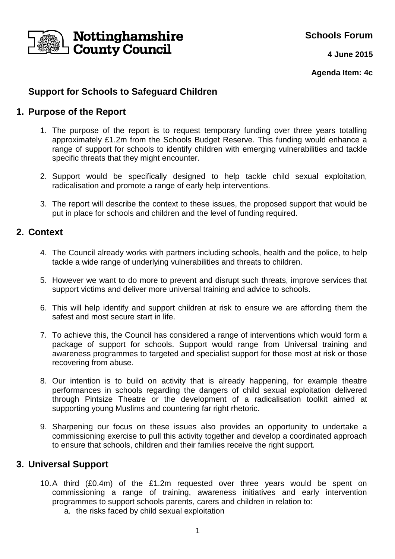

**Schools Forum**

**4 June 2015**

**Agenda Item: 4c**

# **Support for Schools to Safeguard Children**

## **1. Purpose of the Report**

- 1. The purpose of the report is to request temporary funding over three years totalling approximately £1.2m from the Schools Budget Reserve. This funding would enhance a range of support for schools to identify children with emerging vulnerabilities and tackle specific threats that they might encounter.
- 2. Support would be specifically designed to help tackle child sexual exploitation, radicalisation and promote a range of early help interventions.
- 3. The report will describe the context to these issues, the proposed support that would be put in place for schools and children and the level of funding required.

### **2. Context**

- 4. The Council already works with partners including schools, health and the police, to help tackle a wide range of underlying vulnerabilities and threats to children.
- 5. However we want to do more to prevent and disrupt such threats, improve services that support victims and deliver more universal training and advice to schools.
- 6. This will help identify and support children at risk to ensure we are affording them the safest and most secure start in life.
- 7. To achieve this, the Council has considered a range of interventions which would form a package of support for schools. Support would range from Universal training and awareness programmes to targeted and specialist support for those most at risk or those recovering from abuse.
- 8. Our intention is to build on activity that is already happening, for example theatre performances in schools regarding the dangers of child sexual exploitation delivered through Pintsize Theatre or the development of a radicalisation toolkit aimed at supporting young Muslims and countering far right rhetoric.
- 9. Sharpening our focus on these issues also provides an opportunity to undertake a commissioning exercise to pull this activity together and develop a coordinated approach to ensure that schools, children and their families receive the right support.

## **3. Universal Support**

- 10. A third (£0.4m) of the £1.2m requested over three years would be spent on commissioning a range of training, awareness initiatives and early intervention programmes to support schools parents, carers and children in relation to:
	- a. the risks faced by child sexual exploitation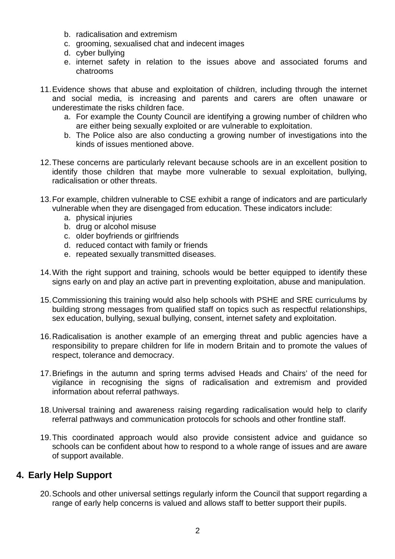- b. radicalisation and extremism
- c. grooming, sexualised chat and indecent images
- d. cyber bullying
- e. internet safety in relation to the issues above and associated forums and chatrooms
- 11. Evidence shows that abuse and exploitation of children, including through the internet and social media, is increasing and parents and carers are often unaware or underestimate the risks children face.
	- a. For example the County Council are identifying a growing number of children who are either being sexually exploited or are vulnerable to exploitation.
	- b. The Police also are also conducting a growing number of investigations into the kinds of issues mentioned above.
- 12. These concerns are particularly relevant because schools are in an excellent position to identify those children that maybe more vulnerable to sexual exploitation, bullying, radicalisation or other threats.
- 13. For example, children vulnerable to CSE exhibit a range of indicators and are particularly vulnerable when they are disengaged from education. These indicators include:
	- a. physical injuries
	- b. drug or alcohol misuse
	- c. older boyfriends or girlfriends
	- d. reduced contact with family or friends
	- e. repeated sexually transmitted diseases.
- 14. With the right support and training, schools would be better equipped to identify these signs early on and play an active part in preventing exploitation, abuse and manipulation.
- 15. Commissioning this training would also help schools with PSHE and SRE curriculums by building strong messages from qualified staff on topics such as respectful relationships, sex education, bullying, sexual bullying, consent, internet safety and exploitation.
- 16. Radicalisation is another example of an emerging threat and public agencies have a responsibility to prepare children for life in modern Britain and to promote the values of respect, tolerance and democracy.
- 17. Briefings in the autumn and spring terms advised Heads and Chairs' of the need for vigilance in recognising the signs of radicalisation and extremism and provided information about referral pathways.
- 18. Universal training and awareness raising regarding radicalisation would help to clarify referral pathways and communication protocols for schools and other frontline staff.
- 19. This coordinated approach would also provide consistent advice and guidance so schools can be confident about how to respond to a whole range of issues and are aware of support available.

## **4. Early Help Support**

20. Schools and other universal settings regularly inform the Council that support regarding a range of early help concerns is valued and allows staff to better support their pupils.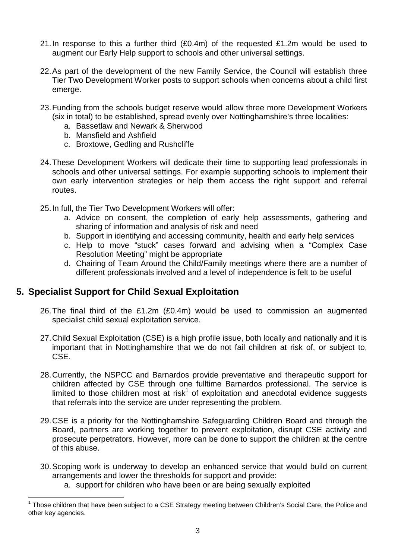- 21. In response to this a further third (£0.4m) of the requested £1.2m would be used to augment our Early Help support to schools and other universal settings.
- 22. As part of the development of the new Family Service, the Council will establish three Tier Two Development Worker posts to support schools when concerns about a child first emerge.
- 23. Funding from the schools budget reserve would allow three more Development Workers (six in total) to be established, spread evenly over Nottinghamshire's three localities:
	- a. Bassetlaw and Newark & Sherwood
	- b. Mansfield and Ashfield
	- c. Broxtowe, Gedling and Rushcliffe
- 24. These Development Workers will dedicate their time to supporting lead professionals in schools and other universal settings. For example supporting schools to implement their own early intervention strategies or help them access the right support and referral routes.
- 25. In full, the Tier Two Development Workers will offer:
	- a. Advice on consent, the completion of early help assessments, gathering and sharing of information and analysis of risk and need
	- b. Support in identifying and accessing community, health and early help services
	- c. Help to move "stuck" cases forward and advising when a "Complex Case Resolution Meeting" might be appropriate
	- d. Chairing of Team Around the Child/Family meetings where there are a number of different professionals involved and a level of independence is felt to be useful

## **5. Specialist Support for Child Sexual Exploitation**

 $\overline{a}$ 

- 26. The final third of the £1.2m (£0.4m) would be used to commission an augmented specialist child sexual exploitation service.
- 27. Child Sexual Exploitation (CSE) is a high profile issue, both locally and nationally and it is important that in Nottinghamshire that we do not fail children at risk of, or subject to, CSE.
- 28. Currently, the NSPCC and Barnardos provide preventative and therapeutic support for children affected by CSE through one fulltime Barnardos professional. The service is limited to those children most at risk<sup>1</sup> of exploitation and anecdotal evidence suggests that referrals into the service are under representing the problem.
- 29. CSE is a priority for the Nottinghamshire Safeguarding Children Board and through the Board, partners are working together to prevent exploitation, disrupt CSE activity and prosecute perpetrators. However, more can be done to support the children at the centre of this abuse.
- 30. Scoping work is underway to develop an enhanced service that would build on current arrangements and lower the thresholds for support and provide:
	- a. support for children who have been or are being sexually exploited

<sup>1</sup> Those children that have been subject to a CSE Strategy meeting between Children's Social Care, the Police and other key agencies.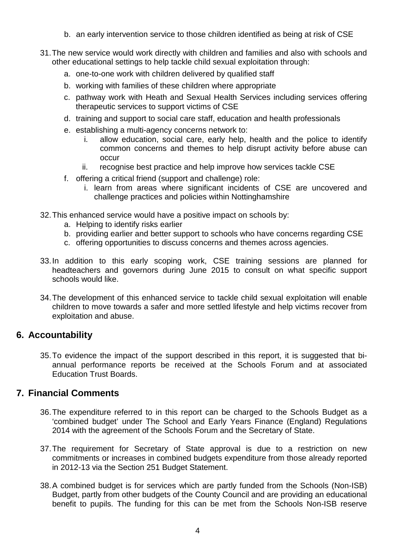- b. an early intervention service to those children identified as being at risk of CSE
- 31. The new service would work directly with children and families and also with schools and other educational settings to help tackle child sexual exploitation through:
	- a. one-to-one work with children delivered by qualified staff
	- b. working with families of these children where appropriate
	- c. pathway work with Heath and Sexual Health Services including services offering therapeutic services to support victims of CSE
	- d. training and support to social care staff, education and health professionals
	- e. establishing a multi-agency concerns network to:
		- i. allow education, social care, early help, health and the police to identify common concerns and themes to help disrupt activity before abuse can occur
		- ii. recognise best practice and help improve how services tackle CSE
	- f. offering a critical friend (support and challenge) role:
		- i. learn from areas where significant incidents of CSE are uncovered and challenge practices and policies within Nottinghamshire
- 32. This enhanced service would have a positive impact on schools by:
	- a. Helping to identify risks earlier
	- b. providing earlier and better support to schools who have concerns regarding CSE
	- c. offering opportunities to discuss concerns and themes across agencies.
- 33. In addition to this early scoping work, CSE training sessions are planned for headteachers and governors during June 2015 to consult on what specific support schools would like.
- 34. The development of this enhanced service to tackle child sexual exploitation will enable children to move towards a safer and more settled lifestyle and help victims recover from exploitation and abuse.

#### **6. Accountability**

35. To evidence the impact of the support described in this report, it is suggested that biannual performance reports be received at the Schools Forum and at associated Education Trust Boards.

## **7. Financial Comments**

- 36. The expenditure referred to in this report can be charged to the Schools Budget as a 'combined budget' under The School and Early Years Finance (England) Regulations 2014 with the agreement of the Schools Forum and the Secretary of State.
- 37. The requirement for Secretary of State approval is due to a restriction on new commitments or increases in combined budgets expenditure from those already reported in 2012-13 via the Section 251 Budget Statement.
- 38. A combined budget is for services which are partly funded from the Schools (Non-ISB) Budget, partly from other budgets of the County Council and are providing an educational benefit to pupils. The funding for this can be met from the Schools Non-ISB reserve